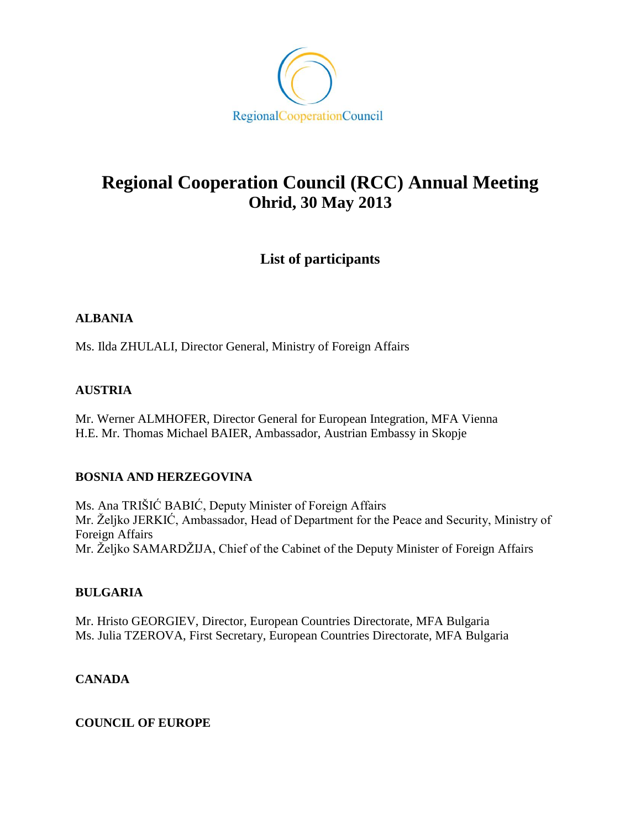

# **Regional Cooperation Council (RCC) Annual Meeting Ohrid, 30 May 2013**

# **List of participants**

# **ALBANIA**

Ms. Ilda ZHULALI, Director General, Ministry of Foreign Affairs

# **AUSTRIA**

Mr. Werner ALMHOFER, Director General for European Integration, MFA Vienna H.E. Mr. Thomas Michael BAIER, Ambassador, Austrian Embassy in Skopje

# **BOSNIA AND HERZEGOVINA**

Ms. Ana TRIŠIĆ BABIĆ, Deputy Minister of Foreign Affairs Mr. Željko JERKIĆ, Ambassador, Head of Department for the Peace and Security, Ministry of Foreign Affairs Mr. Željko SAMARDŽIJA, Chief of the Cabinet of the Deputy Minister of Foreign Affairs

# **BULGARIA**

Mr. Hristo GEORGIEV, Director, European Countries Directorate, MFA Bulgaria Ms. Julia TZEROVA, First Secretary, European Countries Directorate, MFA Bulgaria

# **CANADA**

# **COUNCIL OF EUROPE**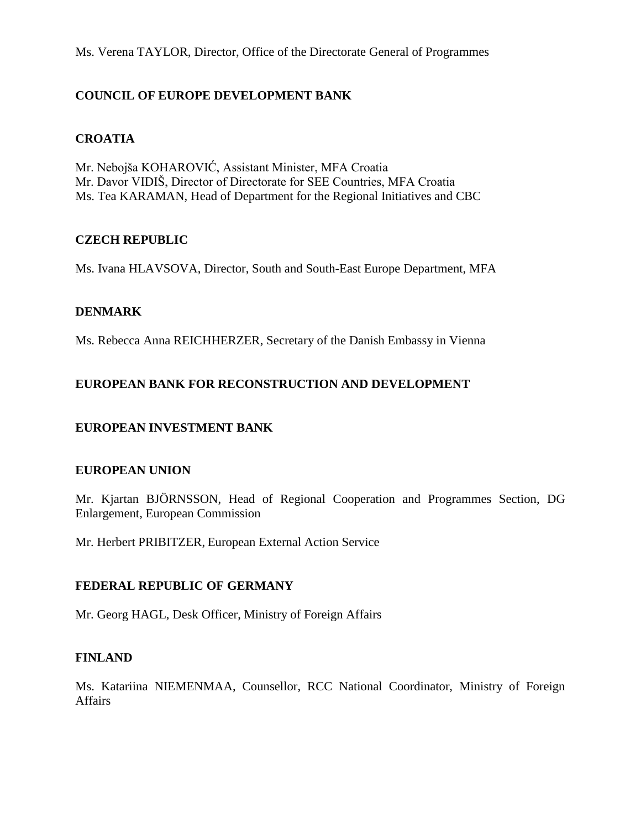Ms. Verena TAYLOR, Director, Office of the Directorate General of Programmes

# **COUNCIL OF EUROPE DEVELOPMENT BANK**

#### **CROATIA**

Mr. Nebojša KOHAROVIĆ, Assistant Minister, MFA Croatia Mr. Davor VIDIŠ, Director of Directorate for SEE Countries, MFA Croatia Ms. Tea KARAMAN, Head of Department for the Regional Initiatives and CBC

#### **CZECH REPUBLIC**

Ms. Ivana HLAVSOVA, Director, South and South-East Europe Department, MFA

#### **DENMARK**

Ms. Rebecca Anna REICHHERZER, Secretary of the Danish Embassy in Vienna

#### **EUROPEAN BANK FOR RECONSTRUCTION AND DEVELOPMENT**

# **EUROPEAN INVESTMENT BANK**

#### **EUROPEAN UNION**

Mr. Kjartan BJÖRNSSON, Head of Regional Cooperation and Programmes Section, DG Enlargement, European Commission

Mr. Herbert PRIBITZER, European External Action Service

#### **FEDERAL REPUBLIC OF GERMANY**

Mr. Georg HAGL, Desk Officer, Ministry of Foreign Affairs

#### **FINLAND**

Ms. Katariina NIEMENMAA, Counsellor, RCC National Coordinator, Ministry of Foreign Affairs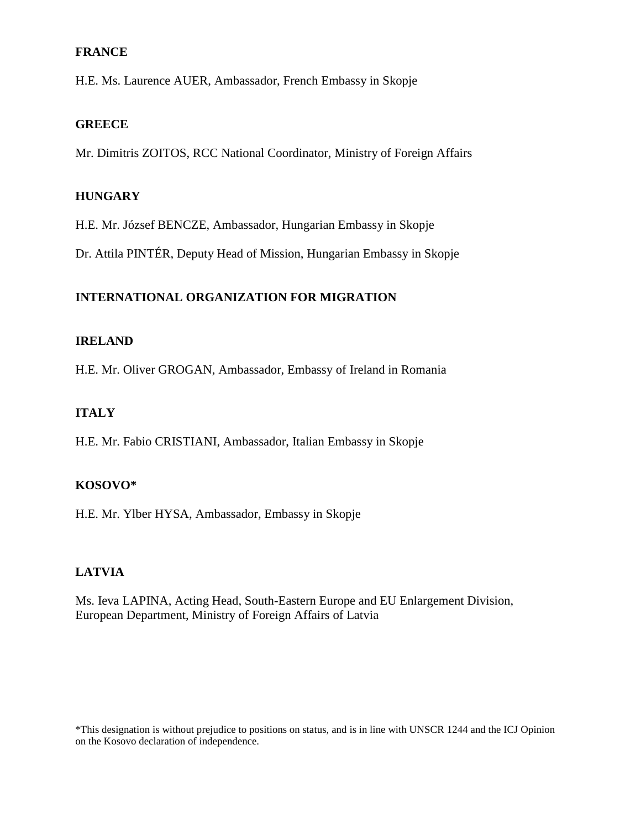# **FRANCE**

H.E. Ms. Laurence AUER, Ambassador, French Embassy in Skopje

#### **GREECE**

Mr. Dimitris ZOITOS, RCC National Coordinator, Ministry of Foreign Affairs

#### **HUNGARY**

H.E. Mr. József BENCZE, Ambassador, Hungarian Embassy in Skopje

Dr. Attila PINTÉR, Deputy Head of Mission, Hungarian Embassy in Skopje

# **INTERNATIONAL ORGANIZATION FOR MIGRATION**

#### **IRELAND**

H.E. Mr. Oliver GROGAN, Ambassador, Embassy of Ireland in Romania

# **ITALY**

H.E. Mr. Fabio CRISTIANI, Ambassador, Italian Embassy in Skopje

# **KOSOVO\***

H.E. Mr. Ylber HYSA, Ambassador, Embassy in Skopje

# **LATVIA**

Ms. Ieva LAPINA, Acting Head, South-Eastern Europe and EU Enlargement Division, European Department, Ministry of Foreign Affairs of Latvia

\*This designation is without prejudice to positions on status, and is in line with UNSCR 1244 and the ICJ Opinion on the Kosovo declaration of independence.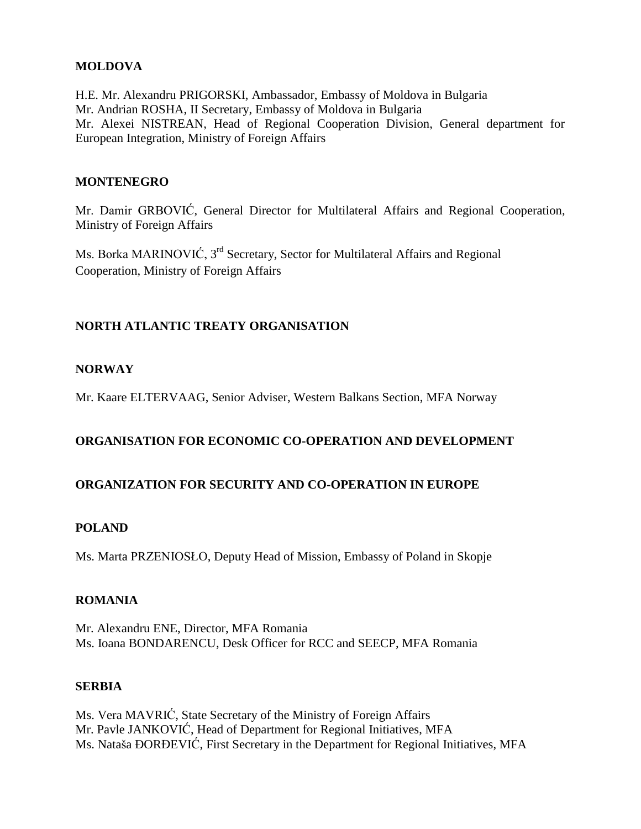# **MOLDOVA**

H.E. Mr. Alexandru PRIGORSKI, Ambassador, Embassy of Moldova in Bulgaria Mr. Andrian ROSHA, II Secretary, Embassy of Moldova in Bulgaria Mr. Alexei NISTREAN, Head of Regional Cooperation Division, General department for European Integration, Ministry of Foreign Affairs

#### **MONTENEGRO**

Mr. Damir GRBOVIĆ, General Director for Multilateral Affairs and Regional Cooperation, Ministry of Foreign Affairs

Ms. Borka MARINOVIĆ, 3<sup>rd</sup> Secretary, Sector for Multilateral Affairs and Regional Cooperation, Ministry of Foreign Affairs

# **NORTH ATLANTIC TREATY ORGANISATION**

# **NORWAY**

Mr. Kaare ELTERVAAG, Senior Adviser, Western Balkans Section, MFA Norway

# **ORGANISATION FOR ECONOMIC CO-OPERATION AND DEVELOPMENT**

# **ORGANIZATION FOR SECURITY AND CO-OPERATION IN EUROPE**

#### **POLAND**

Ms. Marta PRZENIOSŁO, Deputy Head of Mission, Embassy of Poland in Skopje

#### **ROMANIA**

Mr. Alexandru ENE, Director, MFA Romania Ms. Ioana BONDARENCU, Desk Officer for RCC and SEECP, MFA Romania

#### **SERBIA**

Ms. Vera MAVRIĆ, State Secretary of the Ministry of Foreign Affairs Mr. Pavle JANKOVIĆ, Head of Department for Regional Initiatives, MFA Ms. Nataša ÐORĐEVIĆ, First Secretary in the Department for Regional Initiatives, MFA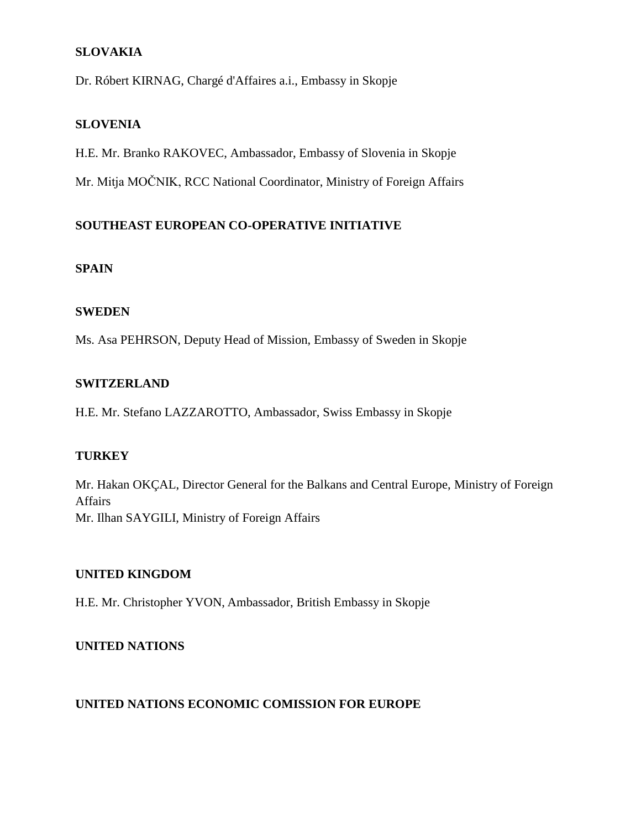# **SLOVAKIA**

Dr. Róbert KIRNAG, Chargé d'Affaires a.i., Embassy in Skopje

#### **SLOVENIA**

H.E. Mr. Branko RAKOVEC, Ambassador, Embassy of Slovenia in Skopje

Mr. Mitja MOČNIK, RCC National Coordinator, Ministry of Foreign Affairs

# **SOUTHEAST EUROPEAN CO-OPERATIVE INITIATIVE**

#### **SPAIN**

#### **SWEDEN**

Ms. Asa PEHRSON, Deputy Head of Mission, Embassy of Sweden in Skopje

#### **SWITZERLAND**

H.E. Mr. Stefano LAZZAROTTO, Ambassador, Swiss Embassy in Skopje

# **TURKEY**

Mr. Hakan OKÇAL, Director General for the Balkans and Central Europe, Ministry of Foreign Affairs Mr. Ilhan SAYGILI, Ministry of Foreign Affairs

#### **UNITED KINGDOM**

H.E. Mr. Christopher YVON, Ambassador, British Embassy in Skopje

# **UNITED NATIONS**

# **UNITED NATIONS ECONOMIC COMISSION FOR EUROPE**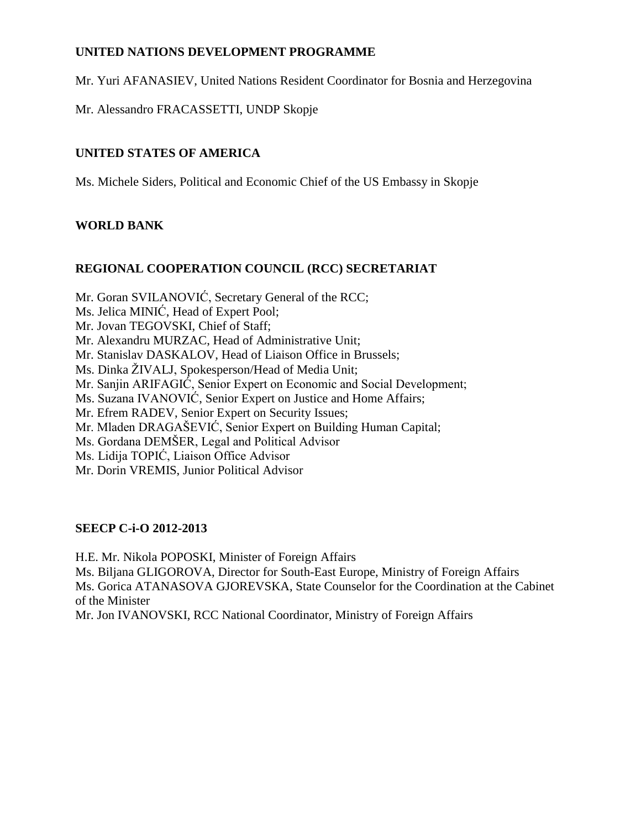# **UNITED NATIONS DEVELOPMENT PROGRAMME**

Mr. Yuri AFANASIEV, United Nations Resident Coordinator for Bosnia and Herzegovina

Mr. Alessandro FRACASSETTI, UNDP Skopje

# **UNITED STATES OF AMERICA**

Ms. Michele Siders, Political and Economic Chief of the US Embassy in Skopje

# **WORLD BANK**

# **REGIONAL COOPERATION COUNCIL (RCC) SECRETARIAT**

Mr. Goran SVILANOVIĆ, Secretary General of the RCC;

- Ms. Jelica MINIĆ, Head of Expert Pool;
- Mr. Jovan TEGOVSKI, Chief of Staff;
- Mr. Alexandru MURZAC, Head of Administrative Unit;
- Mr. Stanislav DASKALOV, Head of Liaison Office in Brussels;
- Ms. Dinka ŽIVALJ, Spokesperson/Head of Media Unit;
- Mr. Sanjin ARIFAGIĆ, Senior Expert on Economic and Social Development;
- Ms. Suzana IVANOVIĆ, Senior Expert on Justice and Home Affairs;
- Mr. Efrem RADEV, Senior Expert on Security Issues;
- Mr. Mladen DRAGAŠEVIĆ, Senior Expert on Building Human Capital;
- Ms. Gordana DEMŠER, Legal and Political Advisor
- Ms. Lidija TOPIĆ, Liaison Office Advisor
- Mr. Dorin VREMIS, Junior Political Advisor

# **SEECP C-i-O 2012-2013**

H.E. Mr. Nikola POPOSKI, Minister of Foreign Affairs

Ms. Biljana GLIGOROVA, Director for South-East Europe, Ministry of Foreign Affairs Ms. Gorica ATANASOVA GJOREVSKA, State Counselor for the Coordination at the Cabinet of the Minister

Mr. Jon IVANOVSKI, RCC National Coordinator, Ministry of Foreign Affairs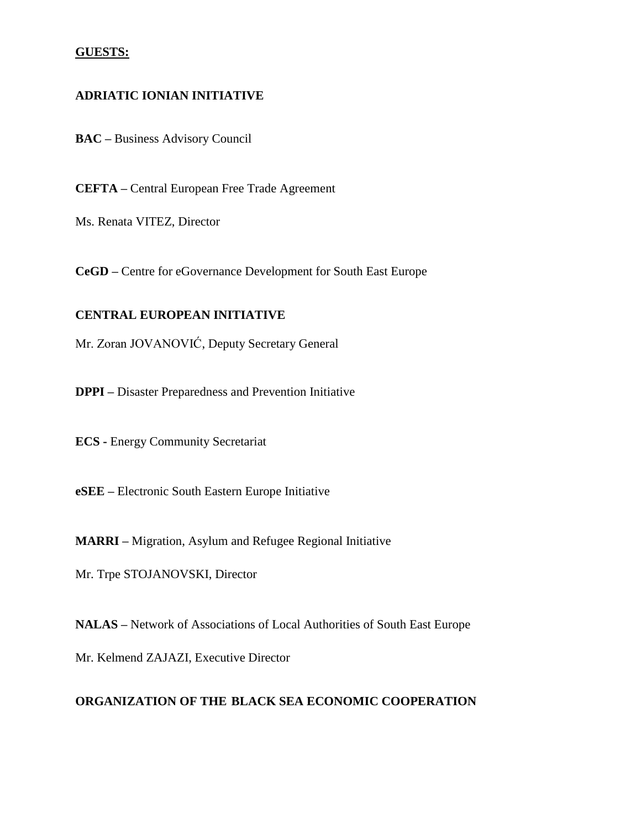#### **GUESTS:**

#### **ADRIATIC IONIAN INITIATIVE**

**BAC –** Business Advisory Council

**CEFTA –** Central European Free Trade Agreement

Ms. Renata VITEZ, Director

**CeGD –** Centre for eGovernance Development for South East Europe

#### **CENTRAL EUROPEAN INITIATIVE**

Mr. Zoran JOVANOVIĆ, Deputy Secretary General

**DPPI –** Disaster Preparedness and Prevention Initiative

**ECS -** Energy Community Secretariat

**eSEE –** Electronic South Eastern Europe Initiative

**MARRI –** Migration, Asylum and Refugee Regional Initiative

Mr. Trpe STOJANOVSKI, Director

**NALAS –** Network of Associations of Local Authorities of South East Europe

Mr. Kelmend ZAJAZI, Executive Director

#### **ORGANIZATION OF THE BLACK SEA ECONOMIC COOPERATION**